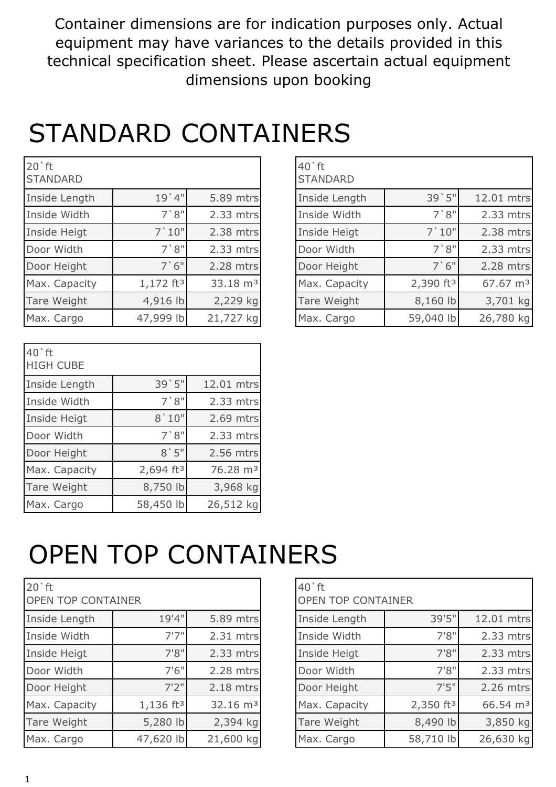Container dimensions are for indication purposes only. Actual equipment may have variances to the details provided in this technical specification sheet. Please ascertain actual equipment dimensions upon booking

#### STANDARD CONTAINERS

| $20$ 'ft<br><b>STANDARD</b> |                       |                      | $40$ <sup><math>\degree</math>ft</sup><br><b>STANDARD</b> |                       |                      |
|-----------------------------|-----------------------|----------------------|-----------------------------------------------------------|-----------------------|----------------------|
| Inside Length               | 19'4"                 | 5.89 mtrs            | Inside Length                                             | 39'5"                 | 12.01 mtrs           |
| Inside Width                | 7'8''                 | 2.33 mtrs            | Inside Width                                              | 7'8''                 | 2.33 mtrs            |
| Inside Heigt                | 7'10"                 | 2.38 mtrs            | Inside Heigt                                              | 7'10"                 | 2.38 mtrs            |
| Door Width                  | 7'8''                 | 2.33 mtrs            | Door Width                                                | 7'8''                 | 2.33 mtrs            |
| Door Height                 | 7'6''                 | 2.28 mtrs            | Door Height                                               | 7'6''                 | 2.28 mtrs            |
| Max. Capacity               | 1,172 ft <sup>3</sup> | 33.18 m <sup>3</sup> | Max. Capacity                                             | 2,390 ft <sup>3</sup> | 67.67 m <sup>3</sup> |
| Tare Weight                 | 4,916 lb              | 2,229 kg             | Tare Weight                                               | 8,160 lb              | 3,701 kg             |
| Max. Cargo                  | 47,999 lb             | 21,727 kg            | Max. Cargo                                                | 59,040 lb             | 26,780 kg            |

| <b>STANDARD</b> |                         |                      |
|-----------------|-------------------------|----------------------|
| Inside Length   | 39'5"                   | 12.01 mtrs           |
| Inside Width    | 7'8''                   | 2.33 mtrs            |
| Inside Heigt    | 7'10"                   | 2.38 mtrs            |
| Door Width      | 7'8''                   | 2.33 mtrs            |
| Door Height     | 7'6''                   | 2.28 mtrs            |
| Max. Capacity   | $2,390$ ft <sup>3</sup> | 67.67 m <sup>3</sup> |
| Tare Weight     | 8,160 lb                | 3,701 kg             |
| Max. Cargo      | 59,040 lb               | 26,780 kg            |

| $40$ <sup><math>\degree</math>ft</sup><br><b>HIGH CUBE</b> |                       |                      |
|------------------------------------------------------------|-----------------------|----------------------|
| Inside Length                                              | 39'5"                 | 12.01 mtrs           |
| Inside Width                                               | 7'8''                 | 2.33 mtrs            |
| Inside Heigt                                               | 8'10"                 | 2.69 mtrs            |
| Door Width                                                 | 7'8''                 | $2.33$ mtrs          |
| Door Height                                                | 8'5''                 | 2.56 mtrs            |
| Max. Capacity                                              | 2,694 ft <sup>3</sup> | 76.28 m <sup>3</sup> |
| Tare Weight                                                | 8,750 lb              | 3,968 kg             |
| Max. Cargo                                                 | 58,450 lb             | 26,512 kg            |

## OPEN TOP CONTAINERS

| $20$ <sup><math>\circ</math></sup> ft<br><b>OPEN TOP CONTAINER</b> |                       |                     |  |  |  |  |  |  |
|--------------------------------------------------------------------|-----------------------|---------------------|--|--|--|--|--|--|
| Inside Length                                                      | 19'4"                 | 5.89 mtrs           |  |  |  |  |  |  |
| Inside Width                                                       | 7'7''                 | 2.31 mtrs           |  |  |  |  |  |  |
| Inside Heigt                                                       | 7'8''                 | 2.33 mtrs           |  |  |  |  |  |  |
| Door Width                                                         | 7'6''                 | 2.28 mtrs           |  |  |  |  |  |  |
| Door Height                                                        | 7'2''                 | 2.18 mtrs           |  |  |  |  |  |  |
| Max. Capacity                                                      | 1,136 ft <sup>3</sup> | $32.16 \text{ m}^3$ |  |  |  |  |  |  |
| Tare Weight                                                        | 5,280 lb              | 2,394 kg            |  |  |  |  |  |  |
| Max. Cargo                                                         | 47,620 lb             | 21,600 kg           |  |  |  |  |  |  |

| 19'4"<br>39'5"<br>5.89 mtrs<br>Inside Length<br>Inside Length<br>7'7''<br>7'8''<br>Inside Width<br>Inside Width<br>2.31 mtrs<br>7'8''<br>2.33 mtrs<br>7'8''<br>Inside Heigt<br>Inside Heigt<br>7'6''<br>7'8''<br>2.28 mtrs<br>Door Width<br>Door Width<br>7'5''<br>7'2''<br>2.18 mtrs<br>Door Height<br>Door Height | $20$ 'ft<br>OPEN TOP CONTAINER |  | $40$ ft<br><b>OPEN TOP CONTAINER</b> |                      |
|---------------------------------------------------------------------------------------------------------------------------------------------------------------------------------------------------------------------------------------------------------------------------------------------------------------------|--------------------------------|--|--------------------------------------|----------------------|
|                                                                                                                                                                                                                                                                                                                     |                                |  |                                      | 12.01 mtrs           |
|                                                                                                                                                                                                                                                                                                                     |                                |  |                                      | 2.33 mtrs            |
|                                                                                                                                                                                                                                                                                                                     |                                |  |                                      | 2.33 mtrs            |
|                                                                                                                                                                                                                                                                                                                     |                                |  |                                      | 2.33 mtrs            |
|                                                                                                                                                                                                                                                                                                                     |                                |  |                                      | 2.26 mtrs            |
| 2,350 $ft^3$<br>1,136 ft <sup>3</sup><br>32.16 m <sup>3</sup><br>Max. Capacity<br>Max. Capacity                                                                                                                                                                                                                     |                                |  |                                      | 66.54 m <sup>3</sup> |
| 5,280 lb<br>8,490 lb<br>2,394 kg<br>Tare Weight<br>Tare Weight                                                                                                                                                                                                                                                      |                                |  |                                      | 3,850 kg             |
| 47,620 lb<br>21,600 kg<br>58,710 lb<br>Max. Cargo<br>Max. Cargo                                                                                                                                                                                                                                                     |                                |  |                                      | 26,630 kg            |